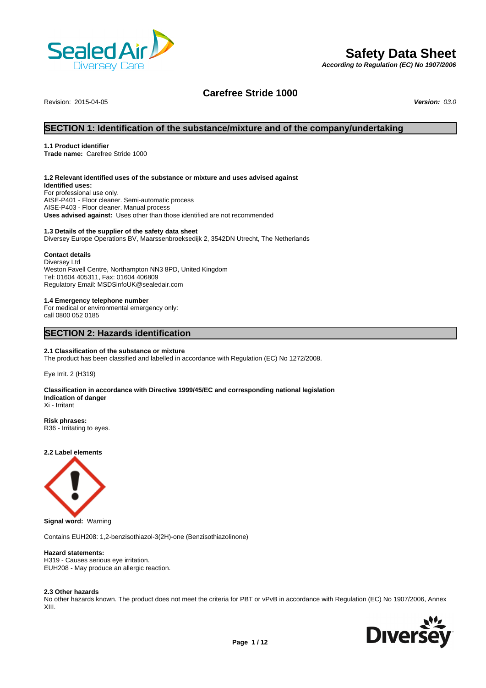

# **Safety Data Sheet**

*According to Regulation (EC) No 1907/2006*

# **Carefree Stride 1000**

Revision: 2015-04-05 *Version: 03.0*

# **SECTION 1: Identification of the substance/mixture and of the company/undertaking**

#### **1.1 Product identifier**

**Trade name:** Carefree Stride 1000

#### **1.2 Relevant identified uses of the substance or mixture and uses advised against**

**Identified uses:** For professional use only. AISE-P401 - Floor cleaner. Semi-automatic process AISE-P403 - Floor cleaner. Manual process **Uses advised against:** Uses other than those identified are not recommended

### **1.3 Details of the supplier of the safety data sheet**

Diversey Europe Operations BV, Maarssenbroeksedijk 2, 3542DN Utrecht, The Netherlands

### **Contact details**

Diversey Ltd Weston Favell Centre, Northampton NN3 8PD, United Kingdom Tel: 01604 405311, Fax: 01604 406809 Regulatory Email: MSDSinfoUK@sealedair.com

#### **1.4 Emergency telephone number**

For medical or environmental emergency only: call 0800 052 0185

# **SECTION 2: Hazards identification**

#### **2.1 Classification of the substance or mixture**

The product has been classified and labelled in accordance with Regulation (EC) No 1272/2008.

Eye Irrit. 2 (H319)

#### **Classification in accordance with Directive 1999/45/EC and corresponding national legislation Indication of danger** Xi - Irritant

**Risk phrases:** R36 - Irritating to eyes.

**2.2 Label elements**



**Signal word:** Warning

Contains EUH208: 1,2-benzisothiazol-3(2H)-one (Benzisothiazolinone)

### **Hazard statements:**

H319 - Causes serious eye irritation. EUH208 - May produce an allergic reaction.

#### **2.3 Other hazards**

No other hazards known. The product does not meet the criteria for PBT or vPvB in accordance with Regulation (EC) No 1907/2006, Annex XIII.

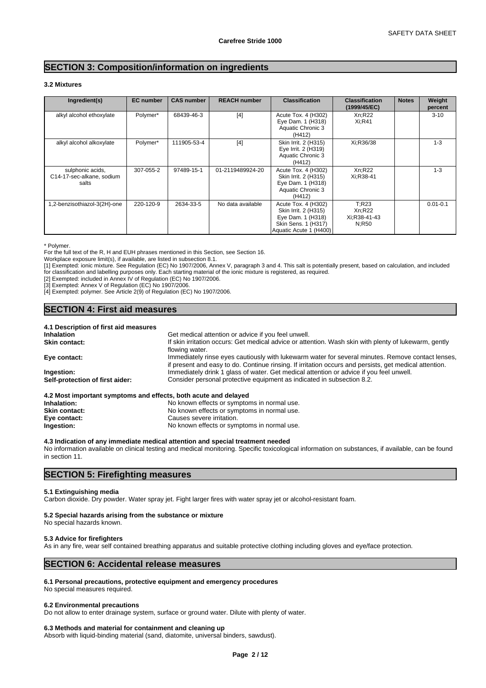# **SECTION 3: Composition/information on ingredients**

### **3.2 Mixtures**

| Ingredient(s)                                          | <b>EC</b> number | <b>CAS number</b> | <b>REACH number</b> | <b>Classification</b>                                                                                             | <b>Classification</b><br>(1999/45/EC)    | <b>Notes</b> | Weight<br>percent |
|--------------------------------------------------------|------------------|-------------------|---------------------|-------------------------------------------------------------------------------------------------------------------|------------------------------------------|--------------|-------------------|
| alkyl alcohol ethoxylate                               | Polymer*         | 68439-46-3        | $[4]$               | Acute Tox. 4 (H302)<br>Eye Dam. 1 (H318)<br>Aquatic Chronic 3<br>(H412)                                           | Xn:R22<br>Xi:R41                         |              | $3 - 10$          |
| alkyl alcohol alkoxylate                               | Polymer*         | 111905-53-4       | [4]                 | Skin Irrit. 2 (H315)<br>Eye Irrit. 2 (H319)<br>Aquatic Chronic 3<br>(H412)                                        | Xi:R36/38                                |              | $1 - 3$           |
| sulphonic acids,<br>C14-17-sec-alkane, sodium<br>salts | 307-055-2        | 97489-15-1        | 01-2119489924-20    | Acute Tox. 4 (H302)<br>Skin Irrit. 2 (H315)<br>Eye Dam. 1 (H318)<br>Aquatic Chronic 3<br>(H412)                   | Xn:R22<br>Xi:R38-41                      |              | $1 - 3$           |
| 1,2-benzisothiazol-3(2H)-one                           | 220-120-9        | 2634-33-5         | No data available   | Acute Tox. 4 (H302)<br>Skin Irrit. 2 (H315)<br>Eye Dam. 1 (H318)<br>Skin Sens. 1 (H317)<br>Aquatic Acute 1 (H400) | T:R23<br>Xn:R22<br>Xi:R38-41-43<br>N:R50 |              | $0.01 - 0.1$      |

\* Polymer.

For the full text of the R, H and EUH phrases mentioned in this Section, see Section 16.

Workplace exposure limit(s), if available, are listed in subsection 8.1.

[1] Exempted: ionic mixture. See Regulation (EC) No 1907/2006, Annex V, paragraph 3 and 4. This salt is potentially present, based on calculation, and included for classification and labelling purposes only. Each starting material of the ionic mixture is registered, as required.

[2] Exempted: included in Annex IV of Regulation (EC) No 1907/2006.

[3] Exempted: Annex V of Regulation (EC) No 1907/2006.

[4] Exempted: polymer. See Article 2(9) of Regulation (EC) No 1907/2006.

# **SECTION 4: First aid measures**

| 4.1 Description of first aid measures                           |                                                                                                                                                                                                             |
|-----------------------------------------------------------------|-------------------------------------------------------------------------------------------------------------------------------------------------------------------------------------------------------------|
| <b>Inhalation</b>                                               | Get medical attention or advice if you feel unwell.                                                                                                                                                         |
| <b>Skin contact:</b>                                            | If skin irritation occurs: Get medical advice or attention. Wash skin with plenty of lukewarm, gently<br>flowing water.                                                                                     |
| Eye contact:                                                    | Immediately rinse eyes cautiously with lukewarm water for several minutes. Remove contact lenses,<br>if present and easy to do. Continue rinsing. If irritation occurs and persists, get medical attention. |
| Ingestion:                                                      | Immediately drink 1 glass of water. Get medical attention or advice if you feel unwell.                                                                                                                     |
| Self-protection of first aider:                                 | Consider personal protective equipment as indicated in subsection 8.2.                                                                                                                                      |
| 4.2 Most important symptoms and effects, both acute and delayed |                                                                                                                                                                                                             |

| Inhalation:          | No known effects or symptoms in normal use. |
|----------------------|---------------------------------------------|
| <b>Skin contact:</b> | No known effects or symptoms in normal use. |
| Eye contact:         | Causes severe irritation.                   |
| Ingestion:           | No known effects or symptoms in normal use. |
|                      |                                             |

#### **4.3 Indication of any immediate medical attention and special treatment needed**

No information available on clinical testing and medical monitoring. Specific toxicological information on substances, if available, can be found in section 11.

# **SECTION 5: Firefighting measures**

#### **5.1 Extinguishing media**

Carbon dioxide. Dry powder. Water spray jet. Fight larger fires with water spray jet or alcohol-resistant foam.

#### **5.2 Special hazards arising from the substance or mixture**

No special hazards known.

#### **5.3 Advice for firefighters**

As in any fire, wear self contained breathing apparatus and suitable protective clothing including gloves and eye/face protection.

# **SECTION 6: Accidental release measures**

#### **6.1 Personal precautions, protective equipment and emergency procedures**

No special measures required.

#### **6.2 Environmental precautions**

Do not allow to enter drainage system, surface or ground water. Dilute with plenty of water.

#### **6.3 Methods and material for containment and cleaning up**

Absorb with liquid-binding material (sand, diatomite, universal binders, sawdust).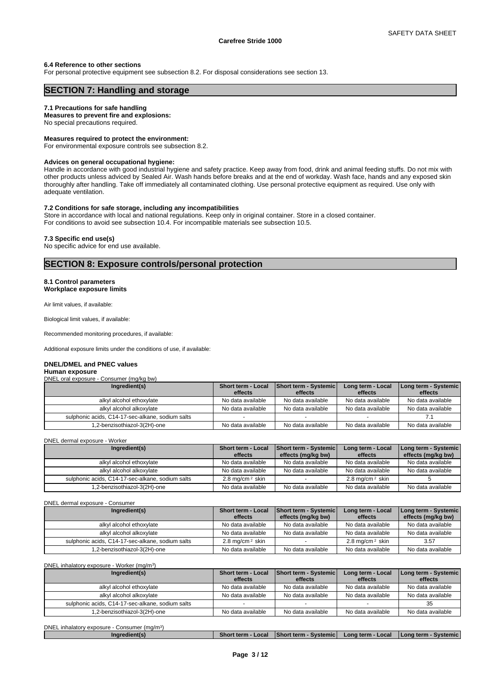#### **6.4 Reference to other sections**

For personal protective equipment see subsection 8.2. For disposal considerations see section 13.

# **SECTION 7: Handling and storage**

#### **7.1 Precautions for safe handling**

## **Measures to prevent fire and explosions:**

No special precautions required.

#### **Measures required to protect the environment:**

For environmental exposure controls see subsection 8.2.

#### **Advices on general occupational hygiene:**

Handle in accordance with good industrial hygiene and safety practice. Keep away from food, drink and animal feeding stuffs. Do not mix with other products unless adviced by Sealed Air. Wash hands before breaks and at the end of workday. Wash face, hands and any exposed skin thoroughly after handling. Take off immediately all contaminated clothing. Use personal protective equipment as required. Use only with adequate ventilation.

#### **7.2 Conditions for safe storage, including any incompatibilities**

Store in accordance with local and national regulations. Keep only in original container. Store in a closed container. For conditions to avoid see subsection 10.4. For incompatible materials see subsection 10.5.

#### **7.3 Specific end use(s)**

No specific advice for end use available.

# **SECTION 8: Exposure controls/personal protection**

#### **8.1 Control parameters Workplace exposure limits**

Air limit values, if available:

Biological limit values, if available:

Recommended monitoring procedures, if available:

Additional exposure limits under the conditions of use, if available:

#### **DNEL/DMEL and PNEC values**

| Human exposure                                   |                           |                       |                   |                                 |
|--------------------------------------------------|---------------------------|-----------------------|-------------------|---------------------------------|
| DNEL oral exposure - Consumer (mg/kg bw)         |                           |                       |                   |                                 |
| Ingredient(s)                                    | <b>Short term - Local</b> | Short term - Systemic | Long term - Local | <b>I Long term - Systemic  </b> |
|                                                  | effects                   | effects               | effects           | effects                         |
| alkyl alcohol ethoxylate                         | No data available         | No data available     | No data available | No data available               |
| alkyl alcohol alkoxylate                         | No data available         | No data available     | No data available | No data available               |
| sulphonic acids, C14-17-sec-alkane, sodium salts |                           |                       |                   |                                 |
| 1.2-benzisothiazol-3(2H)-one                     | No data available         | No data available     | No data available | No data available               |

DNEL dermal exposure - Worker

| Ingredient(s)                                    | <b>Short term - Local</b>   | <b>Short term - Systemic</b> | Long term - Local          | Long term - Systemic |
|--------------------------------------------------|-----------------------------|------------------------------|----------------------------|----------------------|
|                                                  | effects                     | effects (mg/kg bw)           | effects                    | effects (mg/kg bw)   |
| alkyl alcohol ethoxylate                         | No data available           | No data available            | No data available          | No data available    |
| alkyl alcohol alkoxylate                         | No data available           | No data available            | No data available          | No data available    |
| sulphonic acids, C14-17-sec-alkane, sodium salts | 2.8 mg/cm <sup>2</sup> skin |                              | $2.8 \text{ ma/cm}^2$ skin |                      |
| 1,2-benzisothiazol-3(2H)-one                     | No data available           | No data available            | No data available          | No data available    |

DNEL dermal exposure - Consumer

| Ingredient(s)                                    | <b>Short term - Local</b>  | <b>Short term - Systemic</b> | Long term - Local          | Long term - Systemic |
|--------------------------------------------------|----------------------------|------------------------------|----------------------------|----------------------|
|                                                  | effects                    | effects (mg/kg bw)           | effects                    | effects (mg/kg bw)   |
| alkyl alcohol ethoxylate                         | No data available          | No data available            | No data available          | No data available    |
| alkyl alcohol alkoxylate                         | No data available          | No data available            | No data available          | No data available    |
| sulphonic acids, C14-17-sec-alkane, sodium salts | $2.8 \text{ ma/cm}^2$ skin |                              | $2.8 \text{ ma/cm}^2$ skin | 3.57                 |
| 1,2-benzisothiazol-3(2H)-one                     | No data available          | No data available            | No data available          | No data available    |

DNEL inhalatory exposure - Worker (mg/m<sup>3</sup> )

| Ingredient(s)                                    | Short term - Local | <b>Short term - Systemic</b> | Long term - Local | Long term - Systemic |
|--------------------------------------------------|--------------------|------------------------------|-------------------|----------------------|
|                                                  | effects            | effects                      | effects           | effects              |
| alkyl alcohol ethoxylate                         | No data available  | No data available            | No data available | No data available    |
| alkyl alcohol alkoxylate                         | No data available  | No data available            | No data available | No data available    |
| sulphonic acids, C14-17-sec-alkane, sodium salts |                    |                              |                   | 35                   |
| 1,2-benzisothiazol-3(2H)-one                     | No data available  | No data available            | No data available | No data available    |

DNEL inhalatory exposure - Consumer (mg/m<sup>3)</sup> )

| <b>Short term</b><br><b>Short term</b><br>Systemic'<br>Local<br>-ona term -<br>Loca<br>I Long term<br><b>Systemic</b><br>Ingredient(s) |
|----------------------------------------------------------------------------------------------------------------------------------------|
|----------------------------------------------------------------------------------------------------------------------------------------|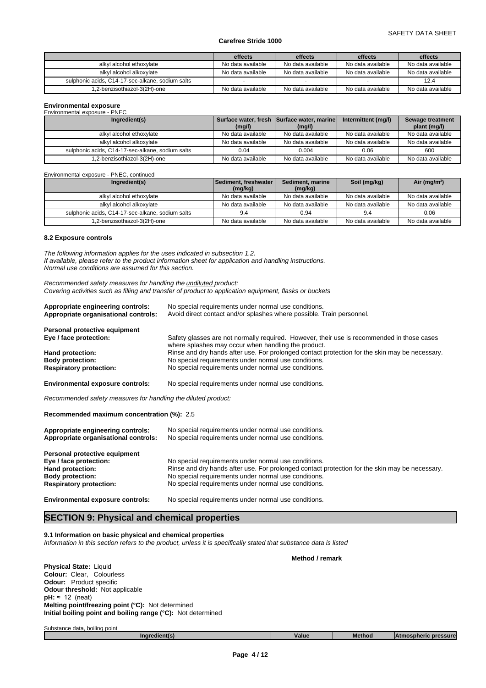|                                                  | effects           | effects           | effects           | effects           |
|--------------------------------------------------|-------------------|-------------------|-------------------|-------------------|
| alkyl alcohol ethoxylate                         | No data available | No data available | No data available | No data available |
| alkyl alcohol alkoxylate                         | No data available | No data available | No data available | No data available |
| sulphonic acids, C14-17-sec-alkane, sodium salts |                   |                   |                   | 12.4              |
| 1,2-benzisothiazol-3(2H)-one                     | No data available | No data available | No data available | No data available |

# **Environmental exposure**

| Environmental exposure - PNEC                    |                   |                                            |                     |                   |
|--------------------------------------------------|-------------------|--------------------------------------------|---------------------|-------------------|
| Ingredient(s)                                    |                   | Surface water, fresh Surface water, marine | Intermittent (mg/l) | Sewage treatment  |
|                                                  | (mg/l)            | (mg/l)                                     |                     | plant (mg/l)      |
| alkyl alcohol ethoxylate                         | No data available | No data available                          | No data available   | No data available |
| alkyl alcohol alkoxylate                         | No data available | No data available                          | No data available   | No data available |
| sulphonic acids, C14-17-sec-alkane, sodium salts | 0.04              | 0.004                                      | 0.06                | 600               |
| 1,2-benzisothiazol-3(2H)-one                     | No data available | No data available                          | No data available   | No data available |

#### Environmental exposure - PNEC, continued

| Ingredient(s)                                    | l Sediment. freshwater l | Sediment, marine  | Soil (mg/kg)      | Air ( $mg/m3$ )   |
|--------------------------------------------------|--------------------------|-------------------|-------------------|-------------------|
|                                                  | (mg/kg)                  | (mg/kg)           |                   |                   |
| alkyl alcohol ethoxylate                         | No data available        | No data available | No data available | No data available |
| alkyl alcohol alkoxylate                         | No data available        | No data available | No data available | No data available |
| sulphonic acids, C14-17-sec-alkane, sodium salts | 9.4                      | 0.94              | 9.4               | 0.06              |
| 1,2-benzisothiazol-3(2H)-one                     | No data available        | No data available | No data available | No data available |

#### **8.2 Exposure controls**

*The following information applies for the uses indicated in subsection 1.2. If available, please refer to the product information sheet for application and handling instructions. Normal use conditions are assumed for this section.*

*Recommended safety measures for handling the undiluted product: Covering activities such as filling and transfer of product to application equipment, flasks or buckets*

| Appropriate engineering controls:<br>Appropriate organisational controls: | No special requirements under normal use conditions.<br>Avoid direct contact and/or splashes where possible. Train personnel.                     |  |  |  |  |
|---------------------------------------------------------------------------|---------------------------------------------------------------------------------------------------------------------------------------------------|--|--|--|--|
| Personal protective equipment                                             |                                                                                                                                                   |  |  |  |  |
| Eye / face protection:                                                    | Safety glasses are not normally required. However, their use is recommended in those cases<br>where splashes may occur when handling the product. |  |  |  |  |
| Hand protection:                                                          | Rinse and dry hands after use. For prolonged contact protection for the skin may be necessary.                                                    |  |  |  |  |
| <b>Body protection:</b>                                                   | No special requirements under normal use conditions.                                                                                              |  |  |  |  |
| <b>Respiratory protection:</b>                                            | No special requirements under normal use conditions.                                                                                              |  |  |  |  |
| <b>Environmental exposure controls:</b>                                   | No special requirements under normal use conditions.                                                                                              |  |  |  |  |
| Recommended safety measures for handling the diluted product:             |                                                                                                                                                   |  |  |  |  |
| Recommended maximum concentration (%): 2.5                                |                                                                                                                                                   |  |  |  |  |
|                                                                           |                                                                                                                                                   |  |  |  |  |

| Appropriate engineering controls:<br>Appropriate organisational controls: | No special requirements under normal use conditions.<br>No special requirements under normal use conditions. |
|---------------------------------------------------------------------------|--------------------------------------------------------------------------------------------------------------|
| Personal protective equipment                                             |                                                                                                              |
| Eye / face protection:                                                    | No special requirements under normal use conditions.                                                         |
| Hand protection:                                                          | Rinse and dry hands after use. For prolonged contact protection for the skin may be necessary.               |
| <b>Body protection:</b>                                                   | No special requirements under normal use conditions.                                                         |
| <b>Respiratory protection:</b>                                            | No special requirements under normal use conditions.                                                         |
| <b>Environmental exposure controls:</b>                                   | No special requirements under normal use conditions.                                                         |

# **SECTION 9: Physical and chemical properties**

**9.1 Information on basic physical and chemical properties**

*Information in this section refers to the product, unless it is specifically stated that substance data is listed*

|                                                                 | Method / remark |
|-----------------------------------------------------------------|-----------------|
| Physical State: Liquid                                          |                 |
| Colour: Clear, Colourless                                       |                 |
| <b>Odour:</b> Product specific                                  |                 |
| <b>Odour threshold: Not applicable</b>                          |                 |
| $pH: \approx 12$ (neat)                                         |                 |
| <b>Melting point/freezing point (°C):</b> Not determined        |                 |
| Initial boiling point and boiling range $(°C)$ : Not determined |                 |
|                                                                 |                 |
| Substance data, boiling point                                   |                 |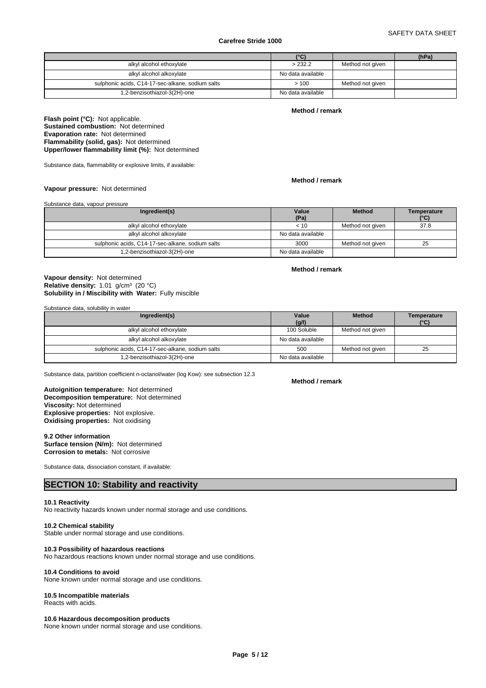# SAFETY DATA SHEET

#### **Carefree Stride 1000**

|                                                  | (°C)              |                  | (hPa) |
|--------------------------------------------------|-------------------|------------------|-------|
| alkyl alcohol ethoxylate                         | > 232.2           | Method not given |       |
| alkyl alcohol alkoxylate                         | No data available |                  |       |
| sulphonic acids, C14-17-sec-alkane, sodium salts | >100              | Method not given |       |
| 1,2-benzisothiazol-3(2H)-one                     | No data available |                  |       |

#### **Method / remark**

**Flash point (°C):** Not applicable. **Sustained combustion:** Not determined **Evaporation rate:** Not determined **Flammability (solid, gas):** Not determined **Upper/lower flammability limit (%):** Not determined

Substance data, flammability or explosive limits, if available:

#### **Method / remark**

**Method / remark**

#### **Vapour pressure:** Not determined

#### Substance data, vapour pressure

| Ingredient(s)                                    | Value<br>(Pa)     | <b>Method</b>    | Temperature<br>$(^{\circ}C)$ |
|--------------------------------------------------|-------------------|------------------|------------------------------|
| alkyl alcohol ethoxylate                         | < 10              | Method not given | 37.8                         |
| alkyl alcohol alkoxylate                         | No data available |                  |                              |
| sulphonic acids, C14-17-sec-alkane, sodium salts | 3000              | Method not given | 25                           |
| 1,2-benzisothiazol-3(2H)-one                     | No data available |                  |                              |

#### **Solubility in / Miscibility with Water:** Fully miscible **Vapour density:** Not determined Relative density: 1.01 g/cm<sup>3</sup> (20 °C)

Substance data, solubility in water

| Ingredient(s)                                    | Value<br>(g/l)    | <b>Method</b>    | Temperature<br>$(^{\circ}C)$ |
|--------------------------------------------------|-------------------|------------------|------------------------------|
| alkyl alcohol ethoxylate                         | 100 Soluble       | Method not given |                              |
| alkyl alcohol alkoxylate                         | No data available |                  |                              |
| sulphonic acids, C14-17-sec-alkane, sodium salts | 500               | Method not given | 25                           |
| 1,2-benzisothiazol-3(2H)-one                     | No data available |                  |                              |

Substance data, partition coefficient n-octanol/water (log Kow): see subsection 12.3

#### **Decomposition temperature:** Not determined **Autoignition temperature:** Not determined **Viscosity:** Not determined **Explosive properties:** Not explosive. **Oxidising properties:** Not oxidising

#### **9.2 Other information**

**Surface tension (N/m):** Not determined **Corrosion to metals:** Not corrosive

Substance data, dissociation constant, if available:

# **SECTION 10: Stability and reactivity**

#### **10.1 Reactivity**

No reactivity hazards known under normal storage and use conditions.

### **10.2 Chemical stability**

Stable under normal storage and use conditions.

# **10.3 Possibility of hazardous reactions**

No hazardous reactions known under normal storage and use conditions.

#### **10.4 Conditions to avoid**

None known under normal storage and use conditions.

### **10.5 Incompatible materials**

Reacts with acids.

#### **10.6 Hazardous decomposition products**

None known under normal storage and use conditions.

#### **Method / remark**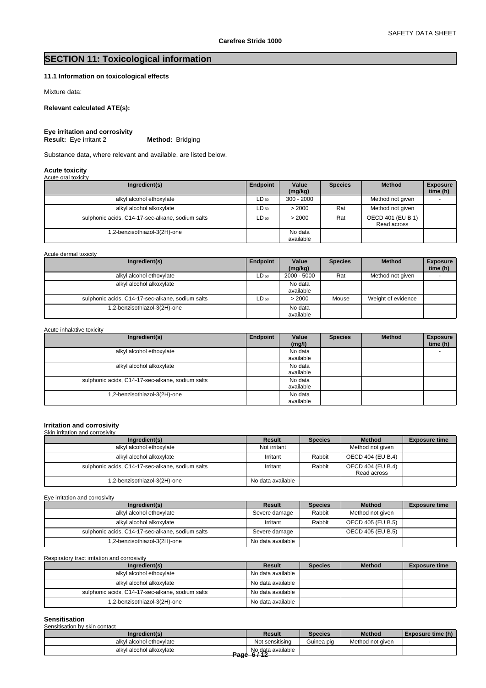# **SECTION 11: Toxicological information**

# **11.1 Information on toxicological effects**

Mixture data:

## **Relevant calculated ATE(s):**

**Eye irritation and corrosivity<br>Result:** Eye irritant 2 **Method:** Bridging **Result:** Eye irritant 2

Substance data, where relevant and available, are listed below.

# **Acute toxicity** Acute oral toxicity

| $1$ to get of the town only                      |           |                      |                |                                  |                             |
|--------------------------------------------------|-----------|----------------------|----------------|----------------------------------|-----------------------------|
| Ingredient(s)                                    | Endpoint  | Value<br>(mg/kg)     | <b>Species</b> | <b>Method</b>                    | <b>Exposure</b><br>time (h) |
| alkyl alcohol ethoxylate                         | $LD_{50}$ | $300 - 2000$         |                | Method not given                 |                             |
| alkyl alcohol alkoxylate                         | $LD_{50}$ | > 2000               | Rat            | Method not given                 |                             |
| sulphonic acids, C14-17-sec-alkane, sodium salts | $LD_{50}$ | > 2000               | Rat            | OECD 401 (EU B.1)<br>Read across |                             |
| 1,2-benzisothiazol-3(2H)-one                     |           | No data<br>available |                |                                  |                             |

Acute dermal toxicity

| Ingredient(s)                                    | Endpoint  | Value<br>(mg/kg)     | <b>Species</b> | <b>Method</b>      | <b>Exposure</b><br>time (h) |
|--------------------------------------------------|-----------|----------------------|----------------|--------------------|-----------------------------|
| alkyl alcohol ethoxylate                         | $LD_{50}$ | $2000 - 5000$        | Rat            | Method not given   |                             |
| alkyl alcohol alkoxylate                         |           | No data<br>available |                |                    |                             |
| sulphonic acids, C14-17-sec-alkane, sodium salts | $LD_{50}$ | > 2000               | Mouse          | Weight of evidence |                             |
| 1,2-benzisothiazol-3(2H)-one                     |           | No data<br>available |                |                    |                             |

| Acute inhalative toxicity                        |          |                      |                |               |                             |
|--------------------------------------------------|----------|----------------------|----------------|---------------|-----------------------------|
| Ingredient(s)                                    | Endpoint | Value<br>(mg/l)      | <b>Species</b> | <b>Method</b> | <b>Exposure</b><br>time (h) |
| alkyl alcohol ethoxylate                         |          | No data<br>available |                |               |                             |
| alkyl alcohol alkoxylate                         |          | No data<br>available |                |               |                             |
| sulphonic acids, C14-17-sec-alkane, sodium salts |          | No data<br>available |                |               |                             |
| 1,2-benzisothiazol-3(2H)-one                     |          | No data<br>available |                |               |                             |

# **Irritation and corrosivity** Skin irritation and corrosivity

| Ingredient(s)                                    | Result            | <b>Species</b> | <b>Method</b>                    | <b>Exposure time</b> |
|--------------------------------------------------|-------------------|----------------|----------------------------------|----------------------|
| alkyl alcohol ethoxylate                         | Not irritant      |                | Method not given                 |                      |
| alkyl alcohol alkoxylate                         | Irritant          | Rabbit         | OECD 404 (EU B.4)                |                      |
| sulphonic acids, C14-17-sec-alkane, sodium salts | Irritant          | Rabbit         | OECD 404 (EU B.4)<br>Read across |                      |
| 1,2-benzisothiazol-3(2H)-one                     | No data available |                |                                  |                      |

Eye irritation and corrosivity

| Ingredient(s)                                    | Result            | <b>Species</b> | <b>Method</b>     | <b>Exposure time</b> |
|--------------------------------------------------|-------------------|----------------|-------------------|----------------------|
| alkyl alcohol ethoxylate                         | Severe damage     | Rabbit         | Method not given  |                      |
| alkyl alcohol alkoxylate                         | Irritant          | Rabbit         | OECD 405 (EU B.5) |                      |
| sulphonic acids, C14-17-sec-alkane, sodium salts | Severe damage     |                | OECD 405 (EU B.5) |                      |
| 1,2-benzisothiazol-3(2H)-one                     | No data available |                |                   |                      |

Respiratory tract irritation and corrosivity

| Ingredient(s)                                    | Result            | <b>Species</b> | <b>Method</b> | <b>Exposure time</b> |
|--------------------------------------------------|-------------------|----------------|---------------|----------------------|
| alkyl alcohol ethoxylate                         | No data available |                |               |                      |
| alkyl alcohol alkoxylate                         | No data available |                |               |                      |
| sulphonic acids, C14-17-sec-alkane, sodium salts | No data available |                |               |                      |
| 1,2-benzisothiazol-3(2H)-one                     | No data available |                |               |                      |

#### **Sensitisation**

| Sensitisation by skin contact |                                |                |                  |                            |
|-------------------------------|--------------------------------|----------------|------------------|----------------------------|
| Ingredient(s)                 | <b>Result</b>                  | <b>Species</b> | <b>Method</b>    | <b>I</b> Exposure time (h) |
| alkyl alcohol ethoxylate      | Not sensitising                | Guinea pig     | Method not aiven |                            |
| alkvl alcohol alkoxvlate      | No data available<br>Book 6112 |                |                  |                            |
|                               | <del>raye or iz</del>          |                |                  |                            |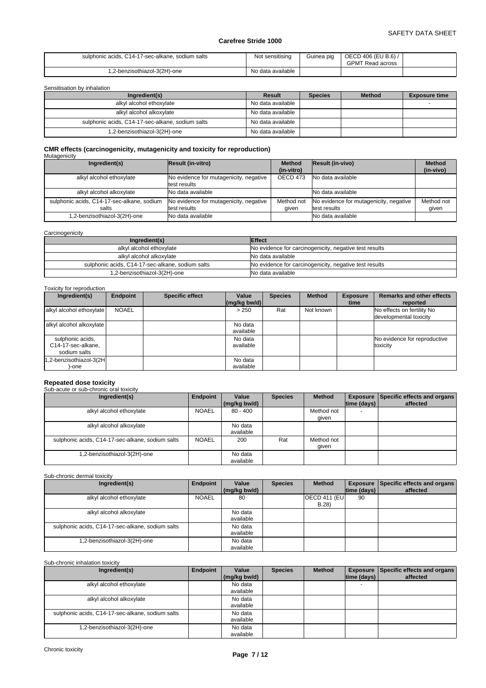| sulphonic acids, C14-17-sec-alkane, sodium salts | Not sensitising   | Guinea piɑ | OECD 406 (EU B.6) /<br><b>GPMT Read across</b> |  |
|--------------------------------------------------|-------------------|------------|------------------------------------------------|--|
| 1,2-benzisothiazol-3(2H)-one                     | No data available |            |                                                |  |

Sensitisation by inhalation

| Ingredient(s)                                    | Result            | <b>Species</b> | <b>Method</b> | <b>Exposure time</b> |
|--------------------------------------------------|-------------------|----------------|---------------|----------------------|
| alkyl alcohol ethoxylate                         | No data available |                |               |                      |
| alkyl alcohol alkoxylate                         | No data available |                |               |                      |
| sulphonic acids, C14-17-sec-alkane, sodium salts | No data available |                |               |                      |
| 1,2-benzisothiazol-3(2H)-one                     | No data available |                |               |                      |

# **CMR effects (carcinogenicity, mutagenicity and toxicity for reproduction)** Mutagenicity

| Ingredient(s)                                       | Result (in-vitro)                                      | <b>Method</b>       | Result (in-vivo)                                       | <b>Method</b>       |
|-----------------------------------------------------|--------------------------------------------------------|---------------------|--------------------------------------------------------|---------------------|
|                                                     |                                                        | (in-vitro)          |                                                        | (in-vivo)           |
| alkyl alcohol ethoxylate                            | No evidence for mutagenicity, negative<br>test results | OECD 473            | No data available                                      |                     |
| alkyl alcohol alkoxylate                            | No data available                                      |                     | No data available                                      |                     |
| sulphonic acids, C14-17-sec-alkane, sodium<br>salts | No evidence for mutagenicity, negative<br>test results | Method not<br>aiven | No evidence for mutagenicity, negative<br>test results | Method not<br>qiven |
| 1,2-benzisothiazol-3(2H)-one                        | No data available                                      |                     | No data available                                      |                     |

#### **Carcinogenicity**

| Ingredient(s)                                    | <b>Effect</b>                                          |
|--------------------------------------------------|--------------------------------------------------------|
| alkyl alcohol ethoxylate                         | No evidence for carcinogenicity, negative test results |
| alkvl alcohol alkoxvlate                         | No data available                                      |
| sulphonic acids, C14-17-sec-alkane, sodium salts | No evidence for carcinogenicity, negative test results |
| 1.2-benzisothiazol-3(2H)-one                     | No data available                                      |

| Toxicity for reproduction                              |              |                        |                         |                |               |                         |                                                      |
|--------------------------------------------------------|--------------|------------------------|-------------------------|----------------|---------------|-------------------------|------------------------------------------------------|
| Ingredient(s)                                          | Endpoint     | <b>Specific effect</b> | Value<br>$(mg/kg$ bw/d) | <b>Species</b> | <b>Method</b> | <b>Exposure</b><br>time | <b>Remarks and other effects</b><br>reported         |
| alkyl alcohol ethoxylate                               | <b>NOAEL</b> |                        | > 250                   | Rat            | Not known     |                         | No effects on fertility No<br>developmental toxicity |
| alkyl alcohol alkoxylate                               |              |                        | No data<br>available    |                |               |                         |                                                      |
| sulphonic acids,<br>C14-17-sec-alkane,<br>sodium salts |              |                        | No data<br>available    |                |               |                         | No evidence for reproductive<br>toxicity             |
| 1,2-benzisothiazol-3(2H<br>)-one                       |              |                        | No data<br>available    |                |               |                         |                                                      |

# **Repeated dose toxicity** Sub-acute or sub-chronic oral toxicity

| Ingredient(s)                                    | <b>Endpoint</b> | Value                | <b>Species</b> | <b>Method</b>       |                    | <b>Exposure Specific effects and organs</b> |
|--------------------------------------------------|-----------------|----------------------|----------------|---------------------|--------------------|---------------------------------------------|
|                                                  |                 | (mg/kg bw/d)         |                |                     | $ time$ (days) $ $ | affected                                    |
| alkyl alcohol ethoxylate                         | <b>NOAEL</b>    | $80 - 400$           |                | Method not<br>given | $\overline{a}$     |                                             |
| alkyl alcohol alkoxylate                         |                 | No data<br>available |                |                     |                    |                                             |
| sulphonic acids, C14-17-sec-alkane, sodium salts | <b>NOAEL</b>    | 200                  | Rat            | Method not<br>qiven |                    |                                             |
| 1,2-benzisothiazol-3(2H)-one                     |                 | No data<br>available |                |                     |                    |                                             |

#### Sub-chronic dermal toxicity

| Ingredient(s)                                    | Endpoint     | Value        | <b>Species</b> | <b>Method</b> |             | <b>Exposure Specific effects and organs</b> |
|--------------------------------------------------|--------------|--------------|----------------|---------------|-------------|---------------------------------------------|
|                                                  |              | (mg/kg bw/d) |                |               | time (days) | affected                                    |
| alkyl alcohol ethoxylate                         | <b>NOAEL</b> | 80           |                | OECD 411 (EU  | 90          |                                             |
|                                                  |              |              |                | B.28          |             |                                             |
| alkyl alcohol alkoxylate                         |              | No data      |                |               |             |                                             |
|                                                  |              | available    |                |               |             |                                             |
| sulphonic acids, C14-17-sec-alkane, sodium salts |              | No data      |                |               |             |                                             |
|                                                  |              | available    |                |               |             |                                             |
| 1,2-benzisothiazol-3(2H)-one                     |              | No data      |                |               |             |                                             |
|                                                  |              | available    |                |               |             |                                             |

# Sub-chronic inhalation toxicity

| Ingredient(s)                                    | Endpoint | Value<br>(mg/kg bw/d) | <b>Species</b> | <b>Method</b> | time (days) | <b>Exposure   Specific effects and organs  </b><br>affected |
|--------------------------------------------------|----------|-----------------------|----------------|---------------|-------------|-------------------------------------------------------------|
| alkyl alcohol ethoxylate                         |          | No data<br>available  |                |               |             |                                                             |
| alkyl alcohol alkoxylate                         |          | No data<br>available  |                |               |             |                                                             |
| sulphonic acids, C14-17-sec-alkane, sodium salts |          | No data<br>available  |                |               |             |                                                             |
| 1,2-benzisothiazol-3(2H)-one                     |          | No data<br>available  |                |               |             |                                                             |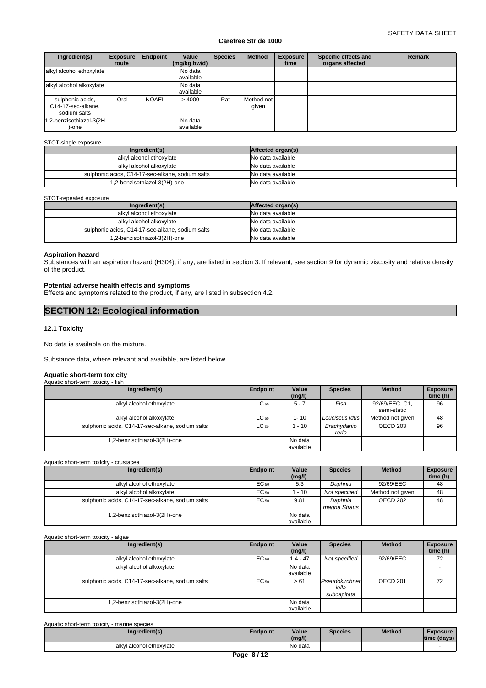| Ingredient(s)                                          | <b>Exposure</b><br>route | Endpoint     | Value<br>$\left \frac{\text{mg}}{\text{kg}}\right $ bw/d) | <b>Species</b> | <b>Method</b>       | <b>Exposure</b><br>time | Specific effects and<br>organs affected | <b>Remark</b> |
|--------------------------------------------------------|--------------------------|--------------|-----------------------------------------------------------|----------------|---------------------|-------------------------|-----------------------------------------|---------------|
| alkyl alcohol ethoxylate                               |                          |              | No data<br>available                                      |                |                     |                         |                                         |               |
| alkyl alcohol alkoxylate                               |                          |              | No data<br>available                                      |                |                     |                         |                                         |               |
| sulphonic acids,<br>C14-17-sec-alkane,<br>sodium salts | Oral                     | <b>NOAEL</b> | >4000                                                     | Rat            | Method not<br>given |                         |                                         |               |
| 1,2-benzisothiazol-3(2H<br>-one                        |                          |              | No data<br>available                                      |                |                     |                         |                                         |               |

#### STOT-single exposure

| Ingredient(s)                                    | Affected organ(s) |
|--------------------------------------------------|-------------------|
| alkyl alcohol ethoxylate                         | No data available |
| alkyl alcohol alkoxylate                         | No data available |
| sulphonic acids, C14-17-sec-alkane, sodium salts | No data available |
| 1,2-benzisothiazol-3(2H)-one                     | No data available |

#### STOT-repeated exposure

| Ingredient(s)                                    | Affected organ(s) |
|--------------------------------------------------|-------------------|
| alkyl alcohol ethoxylate                         | No data available |
| alkyl alcohol alkoxylate                         | No data available |
| sulphonic acids, C14-17-sec-alkane, sodium salts | No data available |
| 1,2-benzisothiazol-3(2H)-one                     | No data available |

## **Aspiration hazard**

Substances with an aspiration hazard (H304), if any, are listed in section 3. If relevant, see section 9 for dynamic viscosity and relative density of the product.

## **Potential adverse health effects and symptoms**

Effects and symptoms related to the product, if any, are listed in subsection 4.2.

# **SECTION 12: Ecological information**

# **12.1 Toxicity**

No data is available on the mixture.

Substance data, where relevant and available, are listed below

## **Aquatic short-term toxicity**

| Aquatic short-term toxicity - fish               |           |                      |                      |                               |                             |
|--------------------------------------------------|-----------|----------------------|----------------------|-------------------------------|-----------------------------|
| Ingredient(s)                                    | Endpoint  | Value<br>(mg/l)      | <b>Species</b>       | <b>Method</b>                 | <b>Exposure</b><br>time (h) |
| alkyl alcohol ethoxylate                         | $LC_{50}$ | $5 - 7$              | Fish                 | 92/69/EEC, C1,<br>semi-static | 96                          |
| alkyl alcohol alkoxylate                         | $LC_{50}$ | $1 - 10$             | Leuciscus idus       | Method not given              | 48                          |
| sulphonic acids, C14-17-sec-alkane, sodium salts | $LC_{50}$ | 1 - 10               | Brachydanio<br>rerio | OECD 203                      | 96                          |
| .2-benzisothiazol-3(2H)-one                      |           | No data<br>available |                      |                               |                             |

Aquatic short-term toxicity - crustacea

| Ingredient(s)                                    | Endpoint | Value<br>(mg/l)      | <b>Species</b>          | <b>Method</b>    | <b>Exposure</b><br>time (h) |
|--------------------------------------------------|----------|----------------------|-------------------------|------------------|-----------------------------|
| alkyl alcohol ethoxylate                         | EC 50    | 5.3                  | Daphnia                 | 92/69/EEC        | 48                          |
| alkyl alcohol alkoxylate                         | EC 50    | $-10$                | Not specified           | Method not given | 48                          |
| sulphonic acids, C14-17-sec-alkane, sodium salts | EC 50    | 9.81                 | Daphnia<br>magna Straus | OECD 202         | 48                          |
| .2-benzisothiazol-3(2H)-one                      |          | No data<br>available |                         |                  |                             |

#### Aquatic short-term toxicity - algae

| Ingredient(s)                                    | Endpoint         | Value<br>(mg/l)      | <b>Species</b>                         | <b>Method</b> | <b>Exposure</b><br>time (h) |
|--------------------------------------------------|------------------|----------------------|----------------------------------------|---------------|-----------------------------|
| alkyl alcohol ethoxylate                         | EC 50            | $1.4 - 47$           | Not specified                          | 92/69/EEC     | 72                          |
| alkyl alcohol alkoxylate                         |                  | No data<br>available |                                        |               | <b>.</b>                    |
| sulphonic acids, C14-17-sec-alkane, sodium salts | EC <sub>50</sub> | > 61                 | Pseudokirchner<br>iella<br>subcapitata | OECD 201      | 72                          |
| 1,2-benzisothiazol-3(2H)-one                     |                  | No data<br>available |                                        |               |                             |

| Aquatic short-term toxicity - marine species |                 |         |                |               |                 |
|----------------------------------------------|-----------------|---------|----------------|---------------|-----------------|
| Ingredient(s)                                | <b>Endpoint</b> | Value   | <b>Species</b> | <b>Method</b> | <b>Exposure</b> |
|                                              |                 | (mg/l)  |                |               | time (days)     |
| alkyl alcohol ethoxylate                     |                 | No data |                |               |                 |
|                                              | Page 8/12       |         |                |               |                 |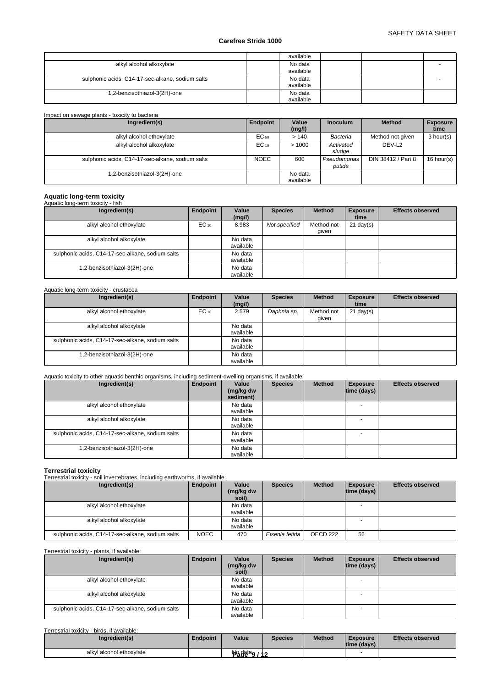|                                                  | available            |  |   |
|--------------------------------------------------|----------------------|--|---|
| alkyl alcohol alkoxylate                         | No data<br>available |  |   |
| sulphonic acids, C14-17-sec-alkane, sodium salts | No data<br>available |  | ۰ |
| 1,2-benzisothiazol-3(2H)-one                     | No data<br>available |  |   |

# Impact on sewage plants - toxicity to bacteria

| Ingredient(s)                                    | Endpoint    | Value<br>(mg/l)      | <b>Inoculum</b>       | <b>Method</b>      | <b>Exposure</b><br>time |
|--------------------------------------------------|-------------|----------------------|-----------------------|--------------------|-------------------------|
| alkyl alcohol ethoxylate                         | $EC_{50}$   | >140                 | Bacteria              | Method not given   | 3 hour(s)               |
| alkyl alcohol alkoxylate                         | $EC_{10}$   | >1000                | Activated<br>sludge   | DEV-L <sub>2</sub> |                         |
| sulphonic acids, C14-17-sec-alkane, sodium salts | <b>NOEC</b> | 600                  | Pseudomonas<br>putida | DIN 38412 / Part 8 | 16 hour(s)              |
| .2-benzisothiazol-3(2H)-one                      |             | No data<br>available |                       |                    |                         |

# **Aquatic long-term toxicity** Aquatic long-term toxicity - fish

| Ingredient(s)                                    | Endpoint  | Value<br>(mg/l)      | <b>Species</b> | <b>Method</b>       | <b>Exposure</b><br>time | <b>Effects observed</b> |
|--------------------------------------------------|-----------|----------------------|----------------|---------------------|-------------------------|-------------------------|
| alkyl alcohol ethoxylate                         | $EC_{10}$ | 8.983                | Not specified  | Method not<br>qiven | $21 \text{ day}(s)$     |                         |
| alkyl alcohol alkoxylate                         |           | No data<br>available |                |                     |                         |                         |
| sulphonic acids, C14-17-sec-alkane, sodium salts |           | No data<br>available |                |                     |                         |                         |
| .2-benzisothiazol-3(2H)-one                      |           | No data<br>available |                |                     |                         |                         |

# Aquatic long-term toxicity - crustacea

| Ingredient(s)                                    | Endpoint  | Value     | <b>Species</b> | <b>Method</b> | <b>Exposure</b>     | <b>Effects observed</b> |
|--------------------------------------------------|-----------|-----------|----------------|---------------|---------------------|-------------------------|
|                                                  |           | (mg/l)    |                |               | time                |                         |
| alkyl alcohol ethoxylate                         | $EC_{10}$ | 2.579     | Daphnia sp.    | Method not    | $21 \text{ day}(s)$ |                         |
|                                                  |           |           |                | qiven         |                     |                         |
| alkyl alcohol alkoxylate                         |           | No data   |                |               |                     |                         |
|                                                  |           | available |                |               |                     |                         |
| sulphonic acids, C14-17-sec-alkane, sodium salts |           | No data   |                |               |                     |                         |
|                                                  |           | available |                |               |                     |                         |
| 1,2-benzisothiazol-3(2H)-one                     |           | No data   |                |               |                     |                         |
|                                                  |           | available |                |               |                     |                         |

# Aquatic toxicity to other aquatic benthic organisms, including sediment-dwelling organisms, if available:

| Ingredient(s)                                    | Endpoint | Value<br>(mg/kg dw<br>sediment) | <b>Species</b> | <b>Method</b> | <b>Exposure</b><br> time (days) | <b>Effects observed</b> |
|--------------------------------------------------|----------|---------------------------------|----------------|---------------|---------------------------------|-------------------------|
| alkyl alcohol ethoxylate                         |          | No data<br>available            |                |               | $\overline{\phantom{0}}$        |                         |
| alkyl alcohol alkoxylate                         |          | No data<br>available            |                |               | $\overline{\phantom{0}}$        |                         |
| sulphonic acids, C14-17-sec-alkane, sodium salts |          | No data<br>available            |                |               | $\overline{\phantom{0}}$        |                         |
| 1,2-benzisothiazol-3(2H)-one                     |          | No data<br>available            |                |               |                                 |                         |

**Terrestrial toxicity** Terrestrial toxicity - soil invertebrates, including earthworms, if available:

| Ingredient(s)                                    | Endpoint    | Value<br>(mg/kg dw<br>soil) | <b>Species</b> | <b>Method</b> | <b>Exposure</b><br> time (days) | <b>Effects observed</b> |
|--------------------------------------------------|-------------|-----------------------------|----------------|---------------|---------------------------------|-------------------------|
| alkyl alcohol ethoxylate                         |             | No data<br>available        |                |               |                                 |                         |
| alkyl alcohol alkoxylate                         |             | No data<br>available        |                |               |                                 |                         |
| sulphonic acids, C14-17-sec-alkane, sodium salts | <b>NOEC</b> | 470                         | Eisenia fetida | OECD 222      | 56                              |                         |

## Terrestrial toxicity - plants, if available:

| Ingredient(s)                                    | Endpoint | Value<br>(mg/kg dw<br>soil) | <b>Species</b> | <b>Method</b> | <b>Exposure</b><br> time (days) | <b>Effects observed</b> |
|--------------------------------------------------|----------|-----------------------------|----------------|---------------|---------------------------------|-------------------------|
| alkyl alcohol ethoxylate                         |          | No data<br>available        |                |               |                                 |                         |
| alkyl alcohol alkoxylate                         |          | No data<br>available        |                |               |                                 |                         |
| sulphonic acids, C14-17-sec-alkane, sodium salts |          | No data<br>available        |                |               | <b>.</b>                        |                         |

## Terrestrial toxicity - birds, if available:

| Ingredient(s)                 | <b>Endpoint</b> | Value                | <b>Species</b> | <b>Method</b> | <b>Exposure</b><br> time (days) | <b>Effects observed</b> |
|-------------------------------|-----------------|----------------------|----------------|---------------|---------------------------------|-------------------------|
| I alcohol ethoxvlate<br>alkvl |                 | Ng data <sub>g</sub> |                |               |                                 |                         |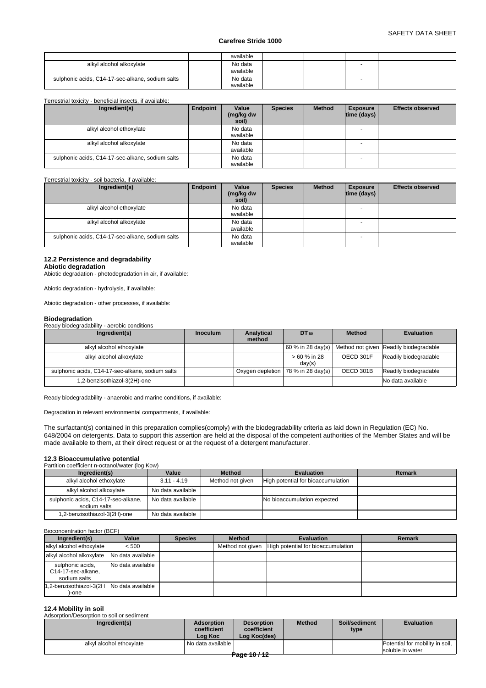|                                                  | available            |  |  |
|--------------------------------------------------|----------------------|--|--|
| alkyl alcohol alkoxylate                         | No data<br>available |  |  |
| sulphonic acids, C14-17-sec-alkane, sodium salts | No data<br>available |  |  |

#### Terrestrial toxicity - beneficial insects, if available:

| Ingredient(s)                                    | Endpoint | Value<br>(mg/kg dw<br>soil) | <b>Species</b> | <b>Method</b> | <b>Exposure</b><br> time (days) | <b>Effects observed</b> |
|--------------------------------------------------|----------|-----------------------------|----------------|---------------|---------------------------------|-------------------------|
| alkyl alcohol ethoxylate                         |          | No data<br>available        |                |               |                                 |                         |
| alkyl alcohol alkoxylate                         |          | No data<br>available        |                |               |                                 |                         |
| sulphonic acids, C14-17-sec-alkane, sodium salts |          | No data<br>available        |                |               |                                 |                         |

Terrestrial toxicity - soil bacteria, if available:

| Ingredient(s)                                    | Endpoint | Value<br>(mg/kg dw<br>soil) | <b>Species</b> | <b>Method</b> | <b>Exposure</b><br> time (days) | <b>Effects observed</b> |
|--------------------------------------------------|----------|-----------------------------|----------------|---------------|---------------------------------|-------------------------|
| alkyl alcohol ethoxylate                         |          | No data<br>available        |                |               |                                 |                         |
| alkyl alcohol alkoxylate                         |          | No data<br>available        |                |               |                                 |                         |
| sulphonic acids, C14-17-sec-alkane, sodium salts |          | No data<br>available        |                |               |                                 |                         |

## **12.2 Persistence and degradability**

**Abiotic degradation** Abiotic degradation - photodegradation in air, if available:

Abiotic degradation - hydrolysis, if available:

Abiotic degradation - other processes, if available:

#### **Biodegradation**

Ready biodegradability - aerobic conditions

| Ingredient(s)                                    | <b>Inoculum</b> | Analytical<br>method | DT 50                                | <b>Method</b> | <b>Evaluation</b>                                          |
|--------------------------------------------------|-----------------|----------------------|--------------------------------------|---------------|------------------------------------------------------------|
| alkyl alcohol ethoxylate                         |                 |                      |                                      |               | 60 % in 28 day(s)   Method not given Readily biodegradable |
| alkyl alcohol alkoxylate                         |                 |                      | > 60 % in 28<br>day(s)               | OECD 301F     | Readily biodegradable                                      |
| sulphonic acids, C14-17-sec-alkane, sodium salts |                 |                      | Oxygen depletion   78 % in 28 day(s) | OECD 301B     | Readily biodegradable                                      |
| 1,2-benzisothiazol-3(2H)-one                     |                 |                      |                                      |               | No data available                                          |

Ready biodegradability - anaerobic and marine conditions, if available:

Degradation in relevant environmental compartments, if available:

The surfactant(s) contained in this preparation complies(comply) with the biodegradability criteria as laid down in Regulation (EC) No. 648/2004 on detergents. Data to support this assertion are held at the disposal of the competent authorities of the Member States and will be made available to them, at their direct request or at the request of a detergent manufacturer.

# **12.3 Bioaccumulative potential**<br>Partition coefficient n-octanol/water (log Kow)

| animum cuenncient ri-octanol/water (log row)        |                   |                  |                                    |               |  |  |  |  |
|-----------------------------------------------------|-------------------|------------------|------------------------------------|---------------|--|--|--|--|
| Ingredient(s)                                       | Value             | <b>Method</b>    | <b>Evaluation</b>                  | <b>Remark</b> |  |  |  |  |
| alkyl alcohol ethoxylate                            | $3.11 - 4.19$     | Method not given | High potential for bioaccumulation |               |  |  |  |  |
| alkyl alcohol alkoxylate                            | No data available |                  |                                    |               |  |  |  |  |
| sulphonic acids, C14-17-sec-alkane,<br>sodium salts | No data available |                  | No bioaccumulation expected        |               |  |  |  |  |
| 1,2-benzisothiazol-3(2H)-one                        | No data available |                  |                                    |               |  |  |  |  |

#### Bioconcentration factor (BCF)

| Ingredient(s)                                          | Value             | <b>Species</b> | <b>Method</b>    | <b>Evaluation</b>                  | Remark |
|--------------------------------------------------------|-------------------|----------------|------------------|------------------------------------|--------|
| alkyl alcohol ethoxylate                               | < 500             |                | Method not given | High potential for bioaccumulation |        |
| alkyl alcohol alkoxylate   No data available           |                   |                |                  |                                    |        |
| sulphonic acids,<br>C14-17-sec-alkane,<br>sodium salts | No data available |                |                  |                                    |        |
| 1,2-benzisothiazol-3(2H No data available<br>)-one     |                   |                |                  |                                    |        |

#### **12.4 Mobility in soil Adsorption/Desorption to soil or sediment**

| ו שוטטע וט ווטט שון ושטען וטובטשן וועגרייני וו<br>Ingredient(s) | <b>Adsorption</b><br>coefficient<br>Log Koc | <b>Desorption</b><br>coefficient<br>Log Koc(des) | <b>Method</b> | Soil/sediment<br>type | <b>Evaluation</b>                                   |
|-----------------------------------------------------------------|---------------------------------------------|--------------------------------------------------|---------------|-----------------------|-----------------------------------------------------|
| alkyl alcohol ethoxylate                                        | l No data available I                       |                                                  |               |                       | Potential for mobility in soil,<br>soluble in water |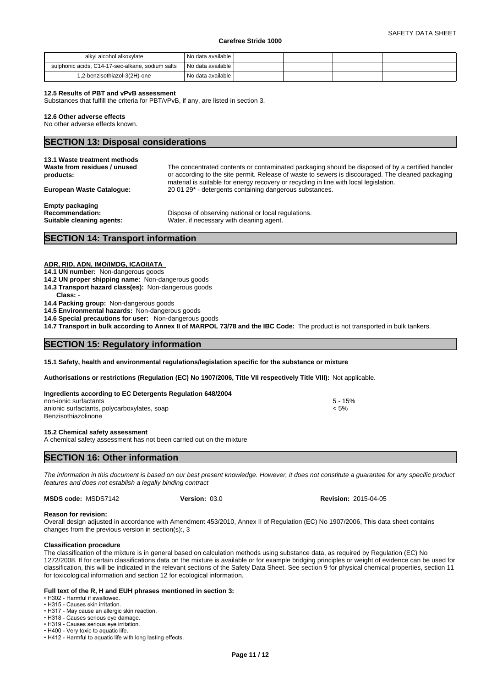| alkyl alcohol alkoxylate                         | No data available i  |  |  |
|--------------------------------------------------|----------------------|--|--|
| sulphonic acids. C14-17-sec-alkane, sodium salts | 'No data available i |  |  |
| 1,2-benzisothiazol-3(2H)-one                     | No data available    |  |  |

#### **12.5 Results of PBT and vPvB assessment**

Substances that fulfill the criteria for PBT/vPvB, if any, are listed in section 3.

#### **12.6 Other adverse effects**

No other adverse effects known.

|  | <b>SECTION 13: Disposal considerations</b> |
|--|--------------------------------------------|
|--|--------------------------------------------|

| 13.1 Waste treatment methods<br>Waste from residues / unused<br>products:     | The concentrated contents or contaminated packaging should be disposed of by a certified handler<br>or according to the site permit. Release of waste to sewers is discouraged. The cleaned packaging<br>material is suitable for energy recovery or recycling in line with local legislation. |
|-------------------------------------------------------------------------------|------------------------------------------------------------------------------------------------------------------------------------------------------------------------------------------------------------------------------------------------------------------------------------------------|
| European Waste Catalogue:                                                     | 20 01 29 <sup>*</sup> - detergents containing dangerous substances.                                                                                                                                                                                                                            |
| <b>Empty packaging</b><br><b>Recommendation:</b><br>Suitable cleaning agents: | Dispose of observing national or local regulations.<br>Water, if necessary with cleaning agent.                                                                                                                                                                                                |

# **SECTION 14: Transport information**

# **ADR, RID, ADN, IMO/IMDG, ICAO/IATA**

**14.1 UN number:** Non-dangerous goods

- **14.2 UN proper shipping name:** Non-dangerous goods
- **14.3 Transport hazard class(es):** Non-dangerous goods
- **Class:** -

**14.4 Packing group:** Non-dangerous goods

**14.5 Environmental hazards:** Non-dangerous goods

**14.6 Special precautions for user:** Non-dangerous goods

**14.7 Transport in bulk according to Annex II of MARPOL 73/78 and the IBC Code:** The product is not transported in bulk tankers.

# **SECTION 15: Regulatory information**

**15.1 Safety, health and environmental regulations/legislation specific for the substance or mixture**

**Authorisations or restrictions (Regulation (EC) No 1907/2006, Title VII respectively Title VIII):** Not applicable.

| Ingredients according to EC Detergents Regulation 648/2004 |           |  |
|------------------------------------------------------------|-----------|--|
| non-ionic surfactants                                      | $5 - 15%$ |  |
| anionic surfactants, polycarboxylates, soap                | < 5%      |  |
| Benzisothiazolinone                                        |           |  |

#### **15.2 Chemical safety assessment**

A chemical safety assessment has not been carried out on the mixture

# **SECTION 16: Other information**

*The information in this document is based on our best present knowledge. However, it does not constitute a guarantee for any specific product features and does not establish a legally binding contract*

**MSDS code:** MSDS7142

**Version:** 03.0 **Revision:** 2015-04-05

#### **Reason for revision:**

Overall design adjusted in accordance with Amendment 453/2010, Annex II of Regulation (EC) No 1907/2006, This data sheet contains changes from the previous version in section(s):, 3

#### **Classification procedure**

The classification of the mixture is in general based on calculation methods using substance data, as required by Regulation (EC) No 1272/2008. If for certain classifications data on the mixture is available or for example bridging principles or weight of evidence can be used for classification, this will be indicated in the relevant sections of the Safety Data Sheet. See section 9 for physical chemical properties, section 11 for toxicological information and section 12 for ecological information.

#### **Full text of the R, H and EUH phrases mentioned in section 3:**

• H302 - Harmful if swallowed

- H315 Causes skin irritation. • H317 - May cause an allergic skin reaction.
- H318 Causes serious eye damage.

• H319 - Causes serious eye irritation.

• H400 - Very toxic to aquatic life.

• H412 - Harmful to aquatic life with long lasting effects.